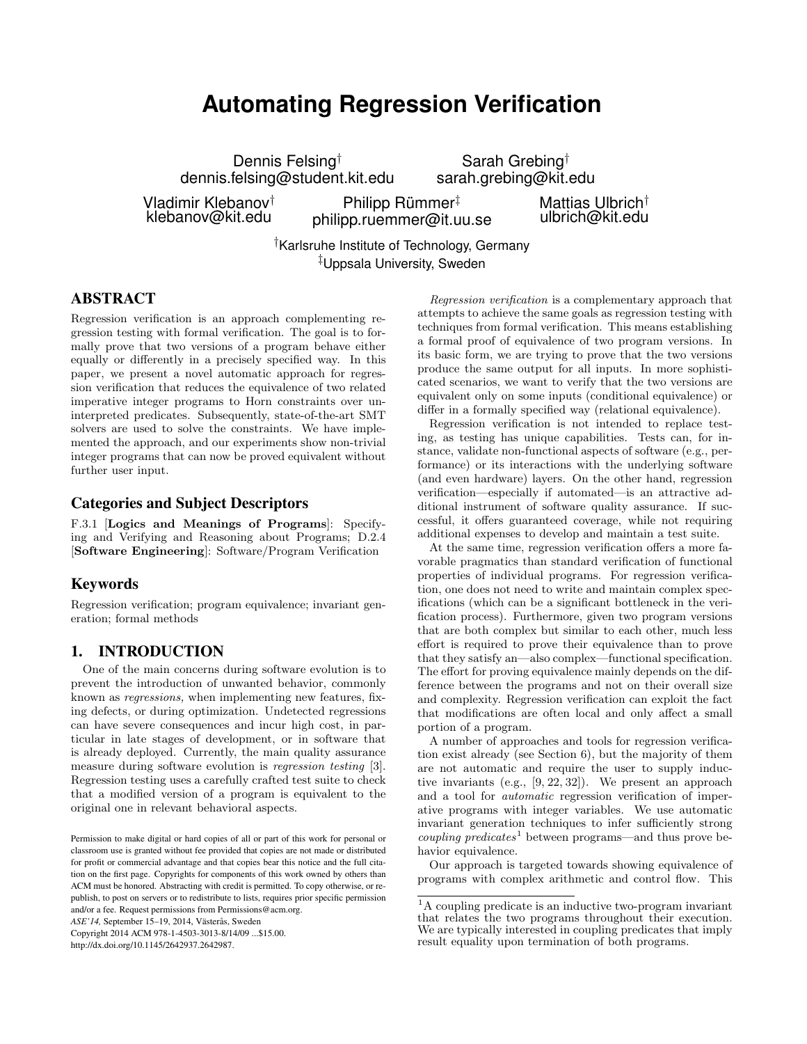# **Automating Regression Verification**

Dennis Felsing† dennis.felsing@student.kit.edu

Sarah Grebing† sarah.grebing@kit.edu

Vladimir Klebanov† klebanov@kit.edu

Philipp Rümmer‡ philipp.ruemmer@it.uu.se Mattias Ulbrich† ulbrich@kit.edu

†Karlsruhe Institute of Technology, Germany ‡Uppsala University, Sweden

## ABSTRACT

Regression verification is an approach complementing regression testing with formal verification. The goal is to formally prove that two versions of a program behave either equally or differently in a precisely specified way. In this paper, we present a novel automatic approach for regression verification that reduces the equivalence of two related imperative integer programs to Horn constraints over uninterpreted predicates. Subsequently, state-of-the-art SMT solvers are used to solve the constraints. We have implemented the approach, and our experiments show non-trivial integer programs that can now be proved equivalent without further user input.

## Categories and Subject Descriptors

F.3.1 [Logics and Meanings of Programs]: Specifying and Verifying and Reasoning about Programs; D.2.4 [Software Engineering]: Software/Program Verification

## Keywords

Regression verification; program equivalence; invariant generation; formal methods

## 1. INTRODUCTION

One of the main concerns during software evolution is to prevent the introduction of unwanted behavior, commonly known as regressions, when implementing new features, fixing defects, or during optimization. Undetected regressions can have severe consequences and incur high cost, in particular in late stages of development, or in software that is already deployed. Currently, the main quality assurance measure during software evolution is regression testing [3]. Regression testing uses a carefully crafted test suite to check that a modified version of a program is equivalent to the original one in relevant behavioral aspects.

*ASE'14,* September 15–19, 2014, Västerås, Sweden

Copyright 2014 ACM 978-1-4503-3013-8/14/09 ...\$15.00.

http://dx.doi.org/10.1145/2642937.2642987.

Regression verification is a complementary approach that attempts to achieve the same goals as regression testing with techniques from formal verification. This means establishing a formal proof of equivalence of two program versions. In its basic form, we are trying to prove that the two versions produce the same output for all inputs. In more sophisticated scenarios, we want to verify that the two versions are equivalent only on some inputs (conditional equivalence) or differ in a formally specified way (relational equivalence).

Regression verification is not intended to replace testing, as testing has unique capabilities. Tests can, for instance, validate non-functional aspects of software (e.g., performance) or its interactions with the underlying software (and even hardware) layers. On the other hand, regression verification—especially if automated—is an attractive additional instrument of software quality assurance. If successful, it offers guaranteed coverage, while not requiring additional expenses to develop and maintain a test suite.

At the same time, regression verification offers a more favorable pragmatics than standard verification of functional properties of individual programs. For regression verification, one does not need to write and maintain complex specifications (which can be a significant bottleneck in the verification process). Furthermore, given two program versions that are both complex but similar to each other, much less effort is required to prove their equivalence than to prove that they satisfy an—also complex—functional specification. The effort for proving equivalence mainly depends on the difference between the programs and not on their overall size and complexity. Regression verification can exploit the fact that modifications are often local and only affect a small portion of a program.

A number of approaches and tools for regression verification exist already (see Section 6), but the majority of them are not automatic and require the user to supply inductive invariants (e.g., [9, 22, 32]). We present an approach and a tool for automatic regression verification of imperative programs with integer variables. We use automatic invariant generation techniques to infer sufficiently strong *coupling predicates*<sup>1</sup> between programs—and thus prove behavior equivalence.

Our approach is targeted towards showing equivalence of programs with complex arithmetic and control flow. This

Permission to make digital or hard copies of all or part of this work for personal or classroom use is granted without fee provided that copies are not made or distributed for profit or commercial advantage and that copies bear this notice and the full citation on the first page. Copyrights for components of this work owned by others than ACM must be honored. Abstracting with credit is permitted. To copy otherwise, or republish, to post on servers or to redistribute to lists, requires prior specific permission and/or a fee. Request permissions from Permissions@acm.org.

 $^{\rm 1}{\rm A}$  coupling predicate is an inductive two-program invariant that relates the two programs throughout their execution. We are typically interested in coupling predicates that imply result equality upon termination of both programs.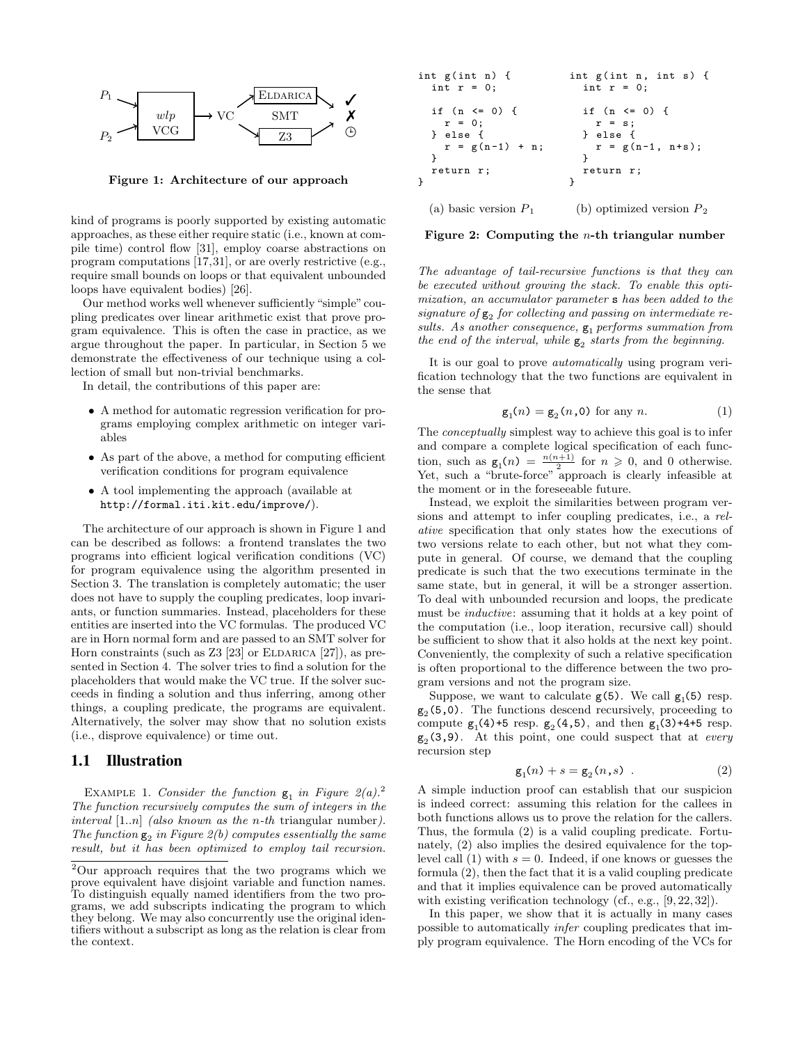

Figure 1: Architecture of our approach

kind of programs is poorly supported by existing automatic approaches, as these either require static (i.e., known at compile time) control flow [31], employ coarse abstractions on program computations [17,31], or are overly restrictive (e.g., require small bounds on loops or that equivalent unbounded loops have equivalent bodies) [26].

Our method works well whenever sufficiently "simple" coupling predicates over linear arithmetic exist that prove program equivalence. This is often the case in practice, as we argue throughout the paper. In particular, in Section 5 we demonstrate the effectiveness of our technique using a collection of small but non-trivial benchmarks.

In detail, the contributions of this paper are:

- A method for automatic regression verification for programs employing complex arithmetic on integer variables
- As part of the above, a method for computing efficient verification conditions for program equivalence
- A tool implementing the approach (available at http://formal.iti.kit.edu/improve/).

The architecture of our approach is shown in Figure 1 and can be described as follows: a frontend translates the two programs into efficient logical verification conditions (VC) for program equivalence using the algorithm presented in Section 3. The translation is completely automatic; the user does not have to supply the coupling predicates, loop invariants, or function summaries. Instead, placeholders for these entities are inserted into the VC formulas. The produced VC are in Horn normal form and are passed to an SMT solver for Horn constraints (such as  $Z3$  [23] or ELDARICA [27]), as presented in Section 4. The solver tries to find a solution for the placeholders that would make the VC true. If the solver succeeds in finding a solution and thus inferring, among other things, a coupling predicate, the programs are equivalent. Alternatively, the solver may show that no solution exists (i.e., disprove equivalence) or time out.

## 1.1 Illustration

EXAMPLE 1. Consider the function  $g_1$  in Figure 2(a).<sup>2</sup> The function recursively computes the sum of integers in the interval  $[1..n]$  (also known as the n-th triangular number). The function  $g_2$  in Figure 2(b) computes essentially the same result, but it has been optimized to employ tail recursion.

| int $g(int n)$ {        | int $g(int n, int s)$ {     |
|-------------------------|-----------------------------|
| int $r = 0$ ;           | int $r = 0$ ;               |
| if $(n \le 0)$ {        | if $(n \le 0)$ {            |
| $r = 0$ :               | $r = s$ ;                   |
| } else {                | $}$ else {                  |
| $r = g(n-1) + n;$       | $r = g(n-1, n+s);$          |
| return r;               | return r;                   |
| (a) basic version $P_1$ | (b) optimized version $P_2$ |

Figure 2: Computing the  $n$ -th triangular number

The advantage of tail-recursive functions is that they can be executed without growing the stack. To enable this optimization, an accumulator parameter s has been added to the  $signature of g<sub>2</sub> for collecting and passing on intermediate re$ sults. As another consequence,  $g_1$  performs summation from the end of the interval, while  $g_2$  starts from the beginning.

It is our goal to prove automatically using program verification technology that the two functions are equivalent in the sense that

$$
\mathsf{g}_1(n) = \mathsf{g}_2(n,0) \text{ for any } n. \tag{1}
$$

The *conceptually* simplest way to achieve this goal is to infer and compare a complete logical specification of each function, such as  $g_1(n) = \frac{n(n+1)}{2}$  for  $n \ge 0$ , and 0 otherwise. Yet, such a "brute-force" approach is clearly infeasible at the moment or in the foreseeable future.

Instead, we exploit the similarities between program versions and attempt to infer coupling predicates, i.e., a relative specification that only states how the executions of two versions relate to each other, but not what they compute in general. Of course, we demand that the coupling predicate is such that the two executions terminate in the same state, but in general, it will be a stronger assertion. To deal with unbounded recursion and loops, the predicate must be inductive: assuming that it holds at a key point of the computation (i.e., loop iteration, recursive call) should be sufficient to show that it also holds at the next key point. Conveniently, the complexity of such a relative specification is often proportional to the difference between the two program versions and not the program size.

Suppose, we want to calculate  $g(5)$ . We call  $g_1(5)$  resp.  $g_2(5,0)$ . The functions descend recursively, proceeding to compute  $g_1(4)$ +5 resp.  $g_2(4,5)$ , and then  $g_1(3)$ +4+5 resp.  $g_2(3, 9)$ . At this point, one could suspect that at *every* recursion step

$$
g_1(n) + s = g_2(n, s) . \t\t(2)
$$

A simple induction proof can establish that our suspicion is indeed correct: assuming this relation for the callees in both functions allows us to prove the relation for the callers. Thus, the formula (2) is a valid coupling predicate. Fortunately, (2) also implies the desired equivalence for the toplevel call (1) with  $s = 0$ . Indeed, if one knows or guesses the formula (2), then the fact that it is a valid coupling predicate and that it implies equivalence can be proved automatically with existing verification technology (cf., e.g., [9, 22, 32]).

In this paper, we show that it is actually in many cases possible to automatically infer coupling predicates that imply program equivalence. The Horn encoding of the VCs for

<sup>2</sup>Our approach requires that the two programs which we prove equivalent have disjoint variable and function names. To distinguish equally named identifiers from the two programs, we add subscripts indicating the program to which they belong. We may also concurrently use the original identifiers without a subscript as long as the relation is clear from the context.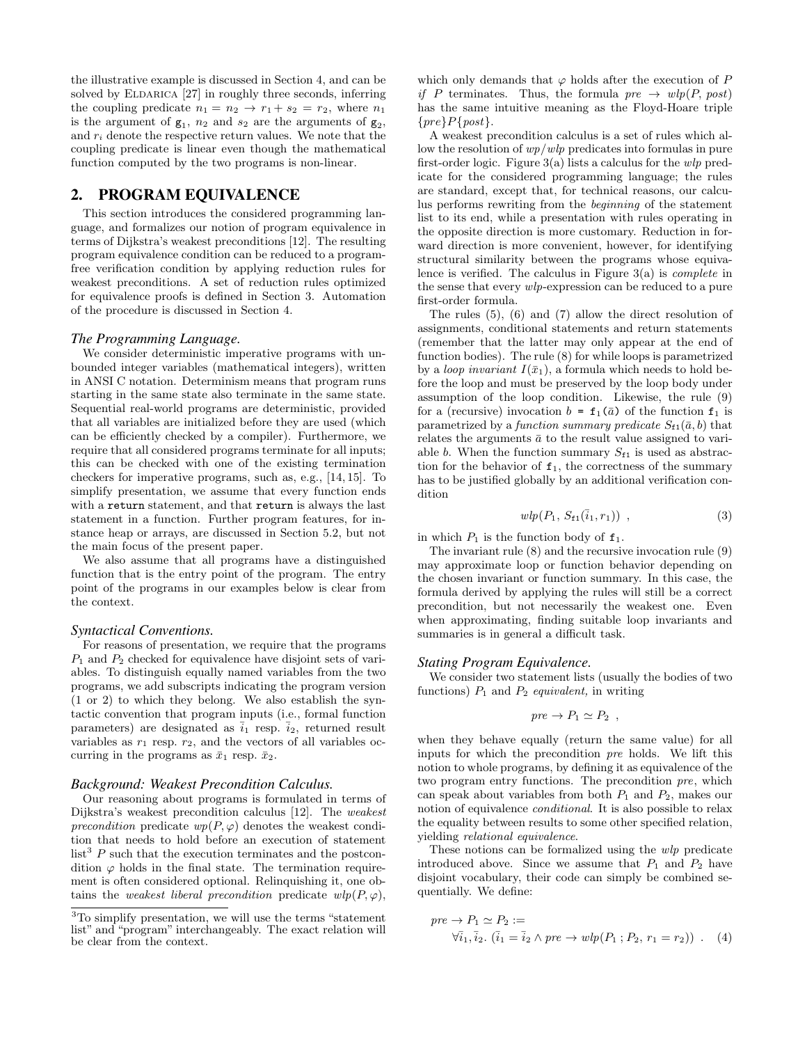the illustrative example is discussed in Section 4, and can be solved by ELDARICA [27] in roughly three seconds, inferring the coupling predicate  $n_1 = n_2 \rightarrow r_1 + s_2 = r_2$ , where  $n_1$ is the argument of  $g_1$ ,  $n_2$  and  $s_2$  are the arguments of  $g_2$ , and  $r_i$  denote the respective return values. We note that the coupling predicate is linear even though the mathematical function computed by the two programs is non-linear.

## 2. PROGRAM EQUIVALENCE

This section introduces the considered programming language, and formalizes our notion of program equivalence in terms of Dijkstra's weakest preconditions [12]. The resulting program equivalence condition can be reduced to a programfree verification condition by applying reduction rules for weakest preconditions. A set of reduction rules optimized for equivalence proofs is defined in Section 3. Automation of the procedure is discussed in Section 4.

#### *The Programming Language.*

We consider deterministic imperative programs with unbounded integer variables (mathematical integers), written in ANSI C notation. Determinism means that program runs starting in the same state also terminate in the same state. Sequential real-world programs are deterministic, provided that all variables are initialized before they are used (which can be efficiently checked by a compiler). Furthermore, we require that all considered programs terminate for all inputs; this can be checked with one of the existing termination checkers for imperative programs, such as, e.g., [14, 15]. To simplify presentation, we assume that every function ends with a return statement, and that return is always the last statement in a function. Further program features, for instance heap or arrays, are discussed in Section 5.2, but not the main focus of the present paper.

We also assume that all programs have a distinguished function that is the entry point of the program. The entry point of the programs in our examples below is clear from the context.

#### *Syntactical Conventions.*

For reasons of presentation, we require that the programs  $P_1$  and  $P_2$  checked for equivalence have disjoint sets of variables. To distinguish equally named variables from the two programs, we add subscripts indicating the program version (1 or 2) to which they belong. We also establish the syntactic convention that program inputs (i.e., formal function parameters) are designated as  $\overline{i}_1$  resp.  $\overline{i}_2$ , returned result variables as  $r_1$  resp.  $r_2$ , and the vectors of all variables occurring in the programs as  $\bar{x}_1$  resp.  $\bar{x}_2$ .

#### *Background: Weakest Precondition Calculus.*

Our reasoning about programs is formulated in terms of Dijkstra's weakest precondition calculus [12]. The weakest precondition predicate  $wp(P, \varphi)$  denotes the weakest condition that needs to hold before an execution of statement  $list^3$   $P$  such that the execution terminates and the postcondition  $\varphi$  holds in the final state. The termination requirement is often considered optional. Relinquishing it, one obtains the *weakest liberal precondition* predicate  $wlp(P, \varphi)$ ,

which only demands that  $\varphi$  holds after the execution of P if P terminates. Thus, the formula  $pre \rightarrow wlp(P, post)$ has the same intuitive meaning as the Floyd-Hoare triple  ${pre}P{post}.$ 

A weakest precondition calculus is a set of rules which allow the resolution of  $wp/wlp$  predicates into formulas in pure first-order logic. Figure 3(a) lists a calculus for the  $wlp$  predicate for the considered programming language; the rules are standard, except that, for technical reasons, our calculus performs rewriting from the beginning of the statement list to its end, while a presentation with rules operating in the opposite direction is more customary. Reduction in forward direction is more convenient, however, for identifying structural similarity between the programs whose equivalence is verified. The calculus in Figure 3(a) is complete in the sense that every wlp-expression can be reduced to a pure first-order formula.

The rules (5), (6) and (7) allow the direct resolution of assignments, conditional statements and return statements (remember that the latter may only appear at the end of function bodies). The rule (8) for while loops is parametrized by a *loop invariant*  $I(\bar{x}_1)$ , a formula which needs to hold before the loop and must be preserved by the loop body under assumption of the loop condition. Likewise, the rule (9) for a (recursive) invocation  $b = f_1(\bar{a})$  of the function  $f_1$  is parametrized by a function summary predicate  $S_{f1}(\bar{a}, b)$  that relates the arguments  $\bar{a}$  to the result value assigned to variable b. When the function summary  $S_{f1}$  is used as abstraction for the behavior of  $f_1$ , the correctness of the summary has to be justified globally by an additional verification condition

$$
wlp(P_1, S_{f1}(\bar{i}_1, r_1)), \qquad (3)
$$

in which  $P_1$  is the function body of  $f_1$ .

The invariant rule (8) and the recursive invocation rule (9) may approximate loop or function behavior depending on the chosen invariant or function summary. In this case, the formula derived by applying the rules will still be a correct precondition, but not necessarily the weakest one. Even when approximating, finding suitable loop invariants and summaries is in general a difficult task.

#### *Stating Program Equivalence.*

We consider two statement lists (usually the bodies of two functions)  $P_1$  and  $P_2$  equivalent, in writing

$$
pre \to P_1 \simeq P_2 ,
$$

when they behave equally (return the same value) for all inputs for which the precondition pre holds. We lift this notion to whole programs, by defining it as equivalence of the two program entry functions. The precondition pre, which can speak about variables from both  $P_1$  and  $P_2$ , makes our notion of equivalence conditional. It is also possible to relax the equality between results to some other specified relation, yielding relational equivalence.

These notions can be formalized using the wlp predicate introduced above. Since we assume that  $P_1$  and  $P_2$  have disjoint vocabulary, their code can simply be combined sequentially. We define:

$$
pre \to P_1 \simeq P_2 :=
$$
  
\n
$$
\forall \overline{i_1}, \overline{i_2}. (\overline{i_1} = \overline{i_2} \land pre \to wlp(P_1 ; P_2, r_1 = r_2)) . (4)
$$

<sup>3</sup>To simplify presentation, we will use the terms "statement list" and "program" interchangeably. The exact relation will be clear from the context.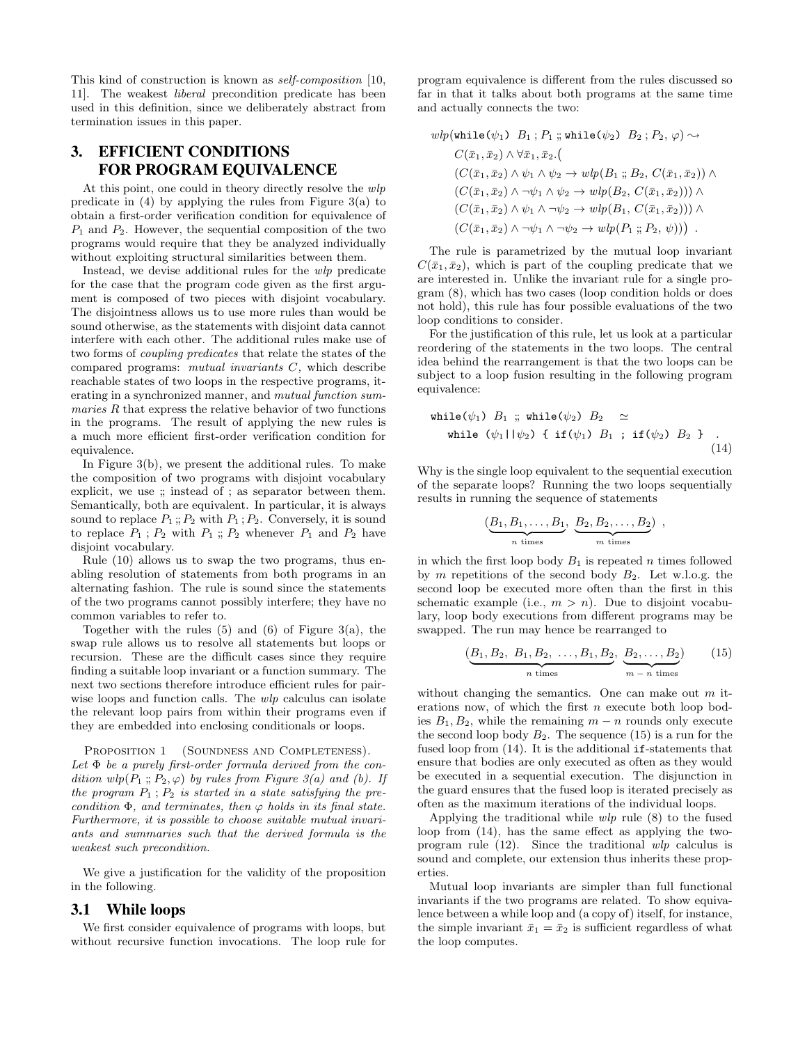This kind of construction is known as self-composition [10, 11]. The weakest liberal precondition predicate has been used in this definition, since we deliberately abstract from termination issues in this paper.

## 3. EFFICIENT CONDITIONS FOR PROGRAM EQUIVALENCE

At this point, one could in theory directly resolve the  $wlp$ predicate in (4) by applying the rules from Figure 3(a) to obtain a first-order verification condition for equivalence of  $P_1$  and  $P_2$ . However, the sequential composition of the two programs would require that they be analyzed individually without exploiting structural similarities between them.

Instead, we devise additional rules for the wlp predicate for the case that the program code given as the first argument is composed of two pieces with disjoint vocabulary. The disjointness allows us to use more rules than would be sound otherwise, as the statements with disjoint data cannot interfere with each other. The additional rules make use of two forms of coupling predicates that relate the states of the compared programs: mutual invariants C, which describe reachable states of two loops in the respective programs, iterating in a synchronized manner, and mutual function summaries R that express the relative behavior of two functions in the programs. The result of applying the new rules is a much more efficient first-order verification condition for equivalence.

In Figure 3(b), we present the additional rules. To make the composition of two programs with disjoint vocabulary explicit, we use ;; instead of ; as separator between them. Semantically, both are equivalent. In particular, it is always sound to replace  $P_1$ ;  $P_2$  with  $P_1$ ;  $P_2$ . Conversely, it is sound to replace  $P_1$ ;  $P_2$  with  $P_1$ ;  $P_2$  whenever  $P_1$  and  $P_2$  have disjoint vocabulary.

Rule (10) allows us to swap the two programs, thus enabling resolution of statements from both programs in an alternating fashion. The rule is sound since the statements of the two programs cannot possibly interfere; they have no common variables to refer to.

Together with the rules  $(5)$  and  $(6)$  of Figure 3(a), the swap rule allows us to resolve all statements but loops or recursion. These are the difficult cases since they require finding a suitable loop invariant or a function summary. The next two sections therefore introduce efficient rules for pairwise loops and function calls. The *wlp* calculus can isolate the relevant loop pairs from within their programs even if they are embedded into enclosing conditionals or loops.

#### PROPOSITION 1 (SOUNDNESS AND COMPLETENESS).

Let  $\Phi$  be a purely first-order formula derived from the condition wlp( $P_1$ ;  $P_2$ ,  $\varphi$ ) by rules from Figure 3(a) and (b). If the program  $P_1$ ;  $P_2$  is started in a state satisfying the precondition  $\Phi$ , and terminates, then  $\varphi$  holds in its final state. Furthermore, it is possible to choose suitable mutual invariants and summaries such that the derived formula is the weakest such precondition.

We give a justification for the validity of the proposition in the following.

#### 3.1 While loops

We first consider equivalence of programs with loops, but without recursive function invocations. The loop rule for program equivalence is different from the rules discussed so far in that it talks about both programs at the same time and actually connects the two:

$$
wlp(\text{while}(\psi_1) B_1; P_1; \text{while}(\psi_2) B_2; P_2, \varphi) \sim
$$
  
\n
$$
C(\bar{x}_1, \bar{x}_2) \wedge \forall \bar{x}_1, \bar{x}_2.
$$
  
\n
$$
(C(\bar{x}_1, \bar{x}_2) \wedge \psi_1 \wedge \psi_2 \rightarrow wlp(B_1; B_2, C(\bar{x}_1, \bar{x}_2)) \wedge
$$
  
\n
$$
(C(\bar{x}_1, \bar{x}_2) \wedge \neg \psi_1 \wedge \psi_2 \rightarrow wlp(B_2, C(\bar{x}_1, \bar{x}_2))) \wedge
$$
  
\n
$$
(C(\bar{x}_1, \bar{x}_2) \wedge \psi_1 \wedge \neg \psi_2 \rightarrow wlp(B_1, C(\bar{x}_1, \bar{x}_2))) \wedge
$$
  
\n
$$
(C(\bar{x}_1, \bar{x}_2) \wedge \neg \psi_1 \wedge \neg \psi_2 \rightarrow wlp(P_1; P_2, \psi)))
$$

The rule is parametrized by the mutual loop invariant  $C(\bar{x}_1, \bar{x}_2)$ , which is part of the coupling predicate that we are interested in. Unlike the invariant rule for a single program (8), which has two cases (loop condition holds or does not hold), this rule has four possible evaluations of the two loop conditions to consider.

For the justification of this rule, let us look at a particular reordering of the statements in the two loops. The central idea behind the rearrangement is that the two loops can be subject to a loop fusion resulting in the following program equivalence:

$$
\begin{array}{ll}\n\text{while}(\psi_1) \ B_1 \ \vdots \ \text{while}(\psi_2) \ B_2 \ \simeq \\
\text{while} \ (\psi_1 || \psi_2) \ \{ \ \text{if}(\psi_1) \ B_1 \ \vdots \ \text{if}(\psi_2) \ B_2 \ \} \ \ . \ \ (14)\n\end{array}
$$

Why is the single loop equivalent to the sequential execution of the separate loops? Running the two loops sequentially results in running the sequence of statements

$$
(\underbrace{B_1, B_1, \ldots, B_1}_{n \text{ times}}, \underbrace{B_2, B_2, \ldots, B_2}_{m \text{ times}}),
$$

in which the first loop body  $B_1$  is repeated n times followed by m repetitions of the second body  $B_2$ . Let w.l.o.g. the second loop be executed more often than the first in this schematic example (i.e.,  $m > n$ ). Due to disjoint vocabulary, loop body executions from different programs may be swapped. The run may hence be rearranged to

$$
(\underbrace{B_1, B_2, B_1, B_2, \dots, B_1, B_2}_{n \text{ times}}, \underbrace{B_2, \dots, B_2}_{m - n \text{ times}})
$$
 (15)

without changing the semantics. One can make out  $m$  iterations now, of which the first  $n$  execute both loop bodies  $B_1, B_2$ , while the remaining  $m - n$  rounds only execute the second loop body  $B_2$ . The sequence (15) is a run for the fused loop from  $(14)$ . It is the additional if-statements that ensure that bodies are only executed as often as they would be executed in a sequential execution. The disjunction in the guard ensures that the fused loop is iterated precisely as often as the maximum iterations of the individual loops.

Applying the traditional while  $wlp$  rule  $(8)$  to the fused loop from (14), has the same effect as applying the twoprogram rule (12). Since the traditional wlp calculus is sound and complete, our extension thus inherits these properties.

Mutual loop invariants are simpler than full functional invariants if the two programs are related. To show equivalence between a while loop and (a copy of) itself, for instance, the simple invariant  $\bar{x}_1 = \bar{x}_2$  is sufficient regardless of what the loop computes.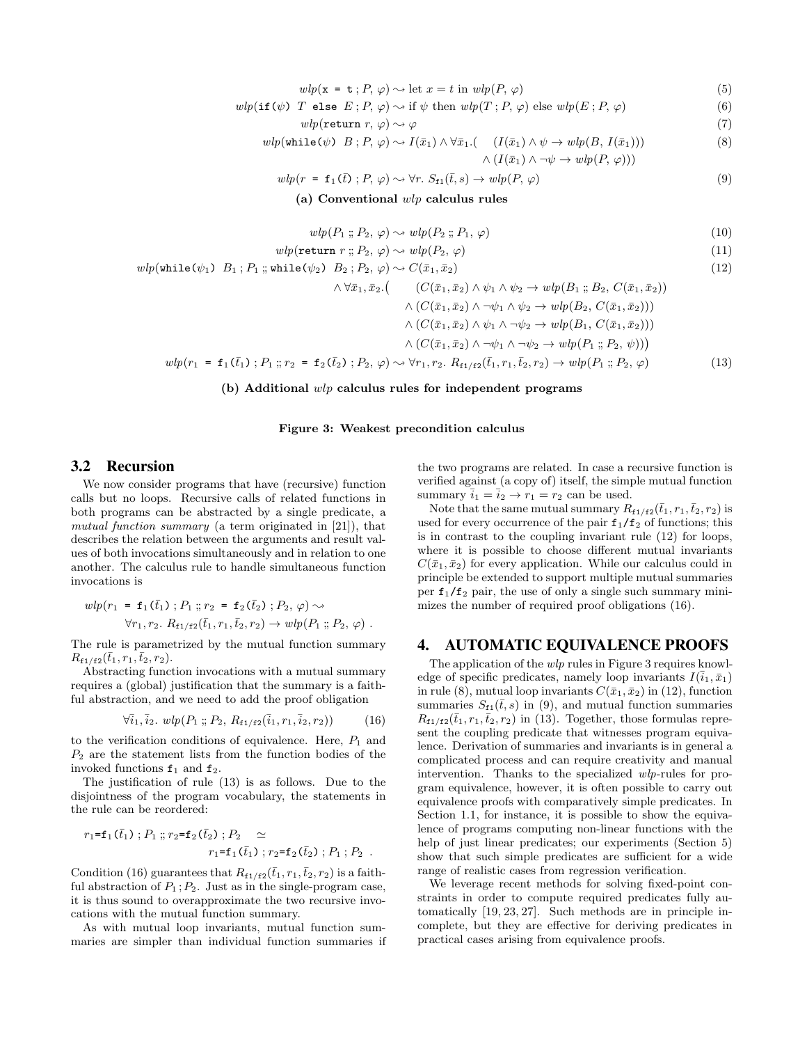$$
wlp(\mathbf{x} = \mathbf{t}; P, \varphi) \sim \text{let } x = t \text{ in } wlp(P, \varphi)
$$
\n
$$
\tag{5}
$$

$$
wlp(\text{if }(\psi) \ T \text{ else } E; P, \varphi) \sim \text{if } \psi \text{ then } wlp(T; P, \varphi) \text{ else } wlp(E; P, \varphi)
$$
(6)

 $wlp(\text{return } r, \varphi) \rightarrow \varphi$  (7)

$$
wlp(\text{while}(\psi) \ B; P, \varphi) \sim I(\bar{x}_1) \land \forall \bar{x}_1. (\quad (I(\bar{x}_1) \land \psi \to wlp(B, I(\bar{x}_1))) \tag{8}
$$

 $\wedge (I(\bar{x}_1) \wedge \neg \psi \rightarrow wlp(P, \varphi)))$ 

$$
wlp(r = f_1(\bar{t}); P, \varphi) \sim \forall r. S_{f_1}(\bar{t}, s) \to wlp(P, \varphi)
$$
\n
$$
(9)
$$

(a) Conventional wlp calculus rules

$$
wlp(P_1; P_2, \varphi) \sim wlp(P_2; P_1, \varphi) \tag{10}
$$

$$
wlp(\text{return } r \text{ ; } P_2, \varphi) \sim wlp(P_2, \varphi) \tag{11}
$$

$$
wlp(\text{while}(\psi_1) \ B_1; P_1; \text{while}(\psi_2) \ B_2; P_2, \varphi) \sim C(\bar{x}_1, \bar{x}_2)
$$
\n
$$
(12)
$$

$$
\wedge \forall \bar{x}_1, \bar{x}_2. \left( \begin{array}{c} (C(\bar{x}_1, \bar{x}_2) \land \psi_1 \land \psi_2 \to wlp(B_1 \lor B_2, C(\bar{x}_1, \bar{x}_2)) \\ \wedge (C(\bar{x}_1, \bar{x}_2) \land \neg \psi_1 \land \psi_2 \to wlp(B_2, C(\bar{x}_1, \bar{x}_2))) \\ \wedge (C(\bar{x}_1, \bar{x}_2) \land \psi_1 \land \neg \psi_2 \to wlp(B_1, C(\bar{x}_1, \bar{x}_2))) \\ \wedge (C(\bar{x}_1, \bar{x}_2) \land \neg \psi_1 \land \neg \psi_2 \to wlp(P_1 \lor P_2, \psi))) \end{array} \right)
$$

$$
wlp(r_1 = \mathbf{f}_1(\bar{t}_1); P_1; ; r_2 = \mathbf{f}_2(\bar{t}_2); P_2, \varphi) \sim \forall r_1, r_2. R_{\mathbf{f}_1/\mathbf{f}_2}(\bar{t}_1, r_1, \bar{t}_2, r_2) \rightarrow wlp(P_1; ; P_2, \varphi)
$$
\n(13)

(b) Additional  $wlp$  calculus rules for independent programs

#### Figure 3: Weakest precondition calculus

## 3.2 Recursion

We now consider programs that have (recursive) function calls but no loops. Recursive calls of related functions in both programs can be abstracted by a single predicate, a mutual function summary (a term originated in [21]), that describes the relation between the arguments and result values of both invocations simultaneously and in relation to one another. The calculus rule to handle simultaneous function invocations is

$$
wlp(r_1 = f_1(\bar{t}_1); P_1 \, ; r_2 = f_2(\bar{t}_2); P_2, \, \varphi) \sim
$$
  

$$
\forall r_1, r_2. R_{f_1/f_2}(\bar{t}_1, r_1, \bar{t}_2, r_2) \rightarrow wlp(P_1 \, ; P_2, \, \varphi) \, .
$$

The rule is parametrized by the mutual function summary  $R_{f1/f2}(\bar{t}_1, r_1, \bar{t}_2, r_2).$ 

Abstracting function invocations with a mutual summary requires a (global) justification that the summary is a faithful abstraction, and we need to add the proof obligation

$$
\forall \bar{i}_1, \bar{i}_2. \ wlp(P_1 \ ; P_2, R_{f1/f2}(\bar{i}_1, r_1, \bar{i}_2, r_2)) \tag{16}
$$

to the verification conditions of equivalence. Here,  $P_1$  and  $P_2$  are the statement lists from the function bodies of the invoked functions  $f_1$  and  $f_2$ .

The justification of rule (13) is as follows. Due to the disjointness of the program vocabulary, the statements in the rule can be reordered:

$$
r_1 = \mathbf{f}_1(\bar{t}_1); P_1 \, ; r_2 = \mathbf{f}_2(\bar{t}_2); P_2 \simeq
$$
  

$$
r_1 = \mathbf{f}_1(\bar{t}_1); r_2 = \mathbf{f}_2(\bar{t}_2); P_1; P_2 .
$$

Condition (16) guarantees that  $R_{f1/f2}(\bar{t}_1, r_1, \bar{t}_2, r_2)$  is a faithful abstraction of  $P_1$ ;  $P_2$ . Just as in the single-program case, it is thus sound to overapproximate the two recursive invocations with the mutual function summary.

As with mutual loop invariants, mutual function summaries are simpler than individual function summaries if the two programs are related. In case a recursive function is verified against (a copy of) itself, the simple mutual function summary  $\bar{i}_1 = \bar{i}_2 \rightarrow r_1 = r_2$  can be used.

Note that the same mutual summary  $R_{f1/f2}(\bar{t}_1, r_1, \bar{t}_2, r_2)$  is used for every occurrence of the pair  $f_1/f_2$  of functions; this is in contrast to the coupling invariant rule (12) for loops, where it is possible to choose different mutual invariants  $C(\bar{x}_1, \bar{x}_2)$  for every application. While our calculus could in principle be extended to support multiple mutual summaries per  $f_1/f_2$  pair, the use of only a single such summary minimizes the number of required proof obligations (16).

## 4. AUTOMATIC EQUIVALENCE PROOFS

The application of the wlp rules in Figure 3 requires knowledge of specific predicates, namely loop invariants  $I(\bar{i}_1, \bar{x}_1)$ in rule (8), mutual loop invariants  $C(\bar{x}_1, \bar{x}_2)$  in (12), function summaries  $S_{f1}(\bar{t}, s)$  in (9), and mutual function summaries  $R_{f1/f2}(\bar{t}_1, r_1, \bar{t}_2, r_2)$  in (13). Together, those formulas represent the coupling predicate that witnesses program equivalence. Derivation of summaries and invariants is in general a complicated process and can require creativity and manual intervention. Thanks to the specialized wlp-rules for program equivalence, however, it is often possible to carry out equivalence proofs with comparatively simple predicates. In Section 1.1, for instance, it is possible to show the equivalence of programs computing non-linear functions with the help of just linear predicates; our experiments (Section 5) show that such simple predicates are sufficient for a wide range of realistic cases from regression verification.

We leverage recent methods for solving fixed-point constraints in order to compute required predicates fully automatically [19, 23, 27]. Such methods are in principle incomplete, but they are effective for deriving predicates in practical cases arising from equivalence proofs.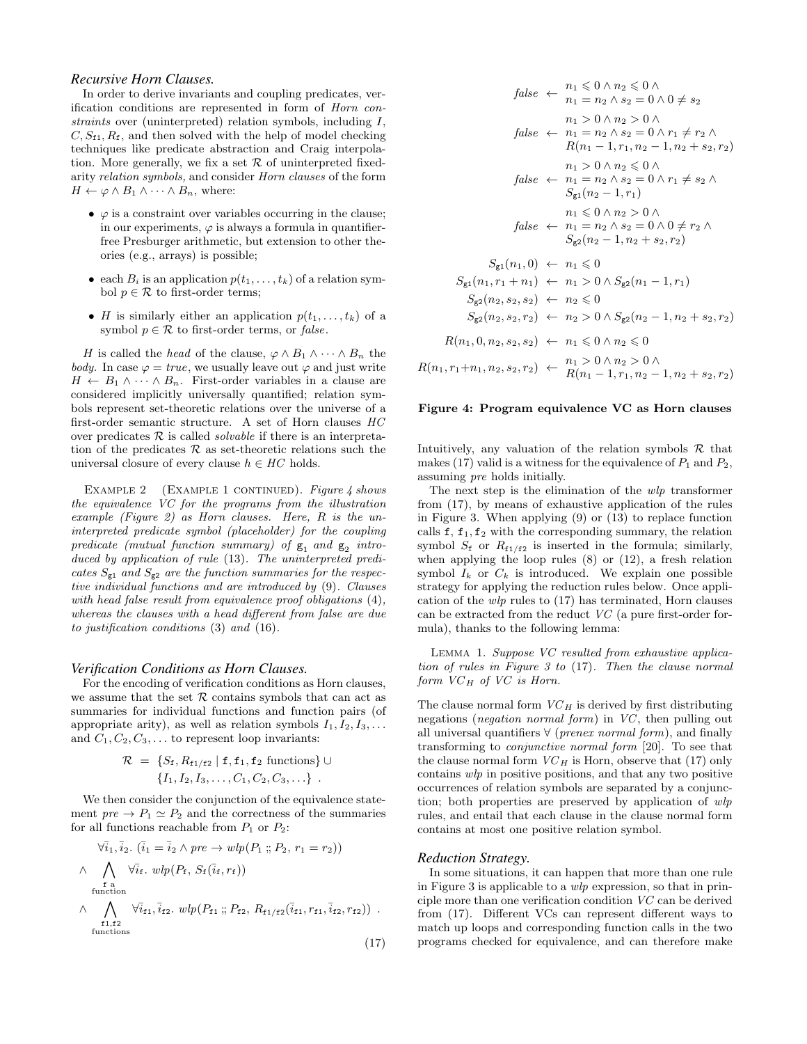#### *Recursive Horn Clauses.*

In order to derive invariants and coupling predicates, verification conditions are represented in form of Horn constraints over (uninterpreted) relation symbols, including I,  $C, S_{f1}, R_f$ , and then solved with the help of model checking techniques like predicate abstraction and Craig interpolation. More generally, we fix a set  $R$  of uninterpreted fixedarity relation symbols, and consider Horn clauses of the form  $H \leftarrow \varphi \wedge B_1 \wedge \cdots \wedge B_n$ , where:

- $\varphi$  is a constraint over variables occurring in the clause; in our experiments,  $\varphi$  is always a formula in quantifierfree Presburger arithmetic, but extension to other theories (e.g., arrays) is possible;
- each  $B_i$  is an application  $p(t_1, \ldots, t_k)$  of a relation symbol  $p \in \mathcal{R}$  to first-order terms;
- H is similarly either an application  $p(t_1, \ldots, t_k)$  of a symbol  $p \in \mathcal{R}$  to first-order terms, or *false*.

H is called the head of the clause,  $\varphi \wedge B_1 \wedge \cdots \wedge B_n$  the body. In case  $\varphi = true$ , we usually leave out  $\varphi$  and just write  $H \leftarrow B_1 \wedge \cdots \wedge B_n$ . First-order variables in a clause are considered implicitly universally quantified; relation symbols represent set-theoretic relations over the universe of a first-order semantic structure. A set of Horn clauses HC over predicates  $R$  is called *solvable* if there is an interpretation of the predicates  $R$  as set-theoretic relations such the universal closure of every clause  $h \in HC$  holds.

EXAMPLE 2 (EXAMPLE 1 CONTINUED). Figure  $\lambda$  shows the equivalence VC for the programs from the illustration example (Figure 2) as Horn clauses. Here, R is the uninterpreted predicate symbol (placeholder) for the coupling predicate (mutual function summary) of  $g_1$  and  $g_2$  introduced by application of rule (13). The uninterpreted predicates  $S_{\text{g1}}$  and  $S_{\text{g2}}$  are the function summaries for the respective individual functions and are introduced by (9). Clauses with head false result from equivalence proof obligations (4), whereas the clauses with a head different from false are due to justification conditions (3) and (16).

#### *Verification Conditions as Horn Clauses.*

For the encoding of verification conditions as Horn clauses, we assume that the set  $R$  contains symbols that can act as summaries for individual functions and function pairs (of appropriate arity), as well as relation symbols  $I_1, I_2, I_3, \ldots$ and  $C_1, C_2, C_3, \ldots$  to represent loop invariants:

$$
\mathcal{R} = \{S_{\bf f}, R_{\bf f1/f2} \mid {\bf f}, {\bf f}_1, {\bf f}_2 \text{ functions}\} \cup \{I_1, I_2, I_3, \dots, C_1, C_2, C_3, \dots\}.
$$

We then consider the conjunction of the equivalence statement  $pre \rightarrow P_1 \simeq P_2$  and the correctness of the summaries for all functions reachable from  $P_1$  or  $P_2$ :

$$
\forall \overline{i}_1, \overline{i}_2, (\overline{i}_1 = \overline{i}_2 \land pre \rightarrow wlp(P_1 \lor P_2, r_1 = r_2))
$$

$$
\wedge \bigwedge_{\substack{\text{f a} \\ \text{function}}} \overline{\forall i_{\text{f}}} \cdot wlp(P_{\text{f}}, S_{\text{f}}(\overline{i}_{\text{f}}, r_{\text{f}}))
$$
\n
$$
\wedge \bigwedge_{\substack{\text{f 1, f 2} \\ \text{f 1, f 2}}} \overline{\forall i_{\text{f 1}}, \overline{i_{\text{f 2}}} \cdot wlp(P_{\text{f 1}} \vdots P_{\text{f 2}}, R_{\text{f 1/f2}}(\overline{i}_{\text{f 1}}, r_{\text{f 1}}, \overline{i}_{\text{f 2}}, r_{\text{f 2}})) .
$$
\n(17)

$$
false \leftarrow \begin{array}{l} \n \text{false} \leftarrow \begin{array}{l} \n n_1 \leq 0 \land n_2 \leq 0 \land \\ \n n_1 = n_2 \land s_2 = 0 \land 0 \neq s_2 \n \end{array} \right. \\
 \n \text{false} \leftarrow \begin{array}{l} \n n_1 > 0 \land n_2 > 0 \land \\ \n n_1 > 0 \land n_2 > 0 \land \\ \n R(n_1 - 1, r_1, n_2 - 1, n_2 + s_2, r_2) \n \end{array} \right. \\
 \n \text{false} \leftarrow \begin{array}{l} \n n_1 = n_2 \land s_2 = 0 \land r_1 \neq s_2 \land \\ \n n_2 = 0 \land r_2 \neq 0 \land \\ \n S_{g1}(n_2 - 1, r_1) \n \end{array} \right. \\
 \n \text{false} \leftarrow \begin{array}{l} \n n_1 = n_2 \land s_2 = 0 \land 0 \neq r_2 \land \\ \n S_{g2}(n_2 - 1, n_2 + s_2, r_2) \n \end{array} \right. \\
 \n \text{S}_{g1}(n_1, 0) \leftarrow n_1 \leq 0 \\
 \n \text{S}_{g1}(n_1, r_1 + n_1) \leftarrow n_1 > 0 \land S_{g2}(n_1 - 1, r_1) \n \end{array} \right. \\
 \n \text{S}_{g2}(n_2, s_2, s_2) \leftarrow n_2 \leq 0 \\
 \n \text{S}_{g2}(n_2, s_2, r_2) \leftarrow n_2 \geq 0 \land S_{g2}(n_2 - 1, n_2 + s_2, r_2) \n \end{array} \right. \\
 \n R(n_1, 0, n_2, s_2, s_2) \leftarrow n_1 \leq 0 \land n_2 \leq 0 \\
 \text{R}(n_1, r_1 + n_1, n_2, s_2, r_2) \leftarrow \begin{array}{l} \n n_1 > 0 \land n_2 > 0 \land \\ \n n_1 = 0 \land n_2 > 0 \land \\ \n n_1 = 0 \land n_2 > 0 \land \\ \n n_1 = 0 \land n_2 = 0 \land \\ \n n_1 = 0 \land n_2 = 0 \land \\
$$

#### Figure 4: Program equivalence VC as Horn clauses

Intuitively, any valuation of the relation symbols  $\mathcal R$  that makes (17) valid is a witness for the equivalence of  $P_1$  and  $P_2$ , assuming pre holds initially.

The next step is the elimination of the wlp transformer from (17), by means of exhaustive application of the rules in Figure 3. When applying (9) or (13) to replace function calls  $f, f_1, f_2$  with the corresponding summary, the relation symbol  $S_f$  or  $R_{f1/f2}$  is inserted in the formula; similarly, when applying the loop rules (8) or (12), a fresh relation symbol  $I_k$  or  $C_k$  is introduced. We explain one possible strategy for applying the reduction rules below. Once application of the  $wlp$  rules to  $(17)$  has terminated, Horn clauses can be extracted from the reduct VC (a pure first-order formula), thanks to the following lemma:

Lemma 1. Suppose VC resulted from exhaustive application of rules in Figure 3 to (17). Then the clause normal form  $VC_H$  of  $VC$  is Horn.

The clause normal form  $VC_H$  is derived by first distributing negations (negation normal form) in VC, then pulling out all universal quantifiers  $\forall$  (prenex normal form), and finally transforming to conjunctive normal form [20]. To see that the clause normal form  $VC_H$  is Horn, observe that (17) only contains  $wlp$  in positive positions, and that any two positive occurrences of relation symbols are separated by a conjunction; both properties are preserved by application of wlp rules, and entail that each clause in the clause normal form contains at most one positive relation symbol.

#### *Reduction Strategy.*

In some situations, it can happen that more than one rule in Figure 3 is applicable to a wlp expression, so that in principle more than one verification condition VC can be derived from (17). Different VCs can represent different ways to match up loops and corresponding function calls in the two programs checked for equivalence, and can therefore make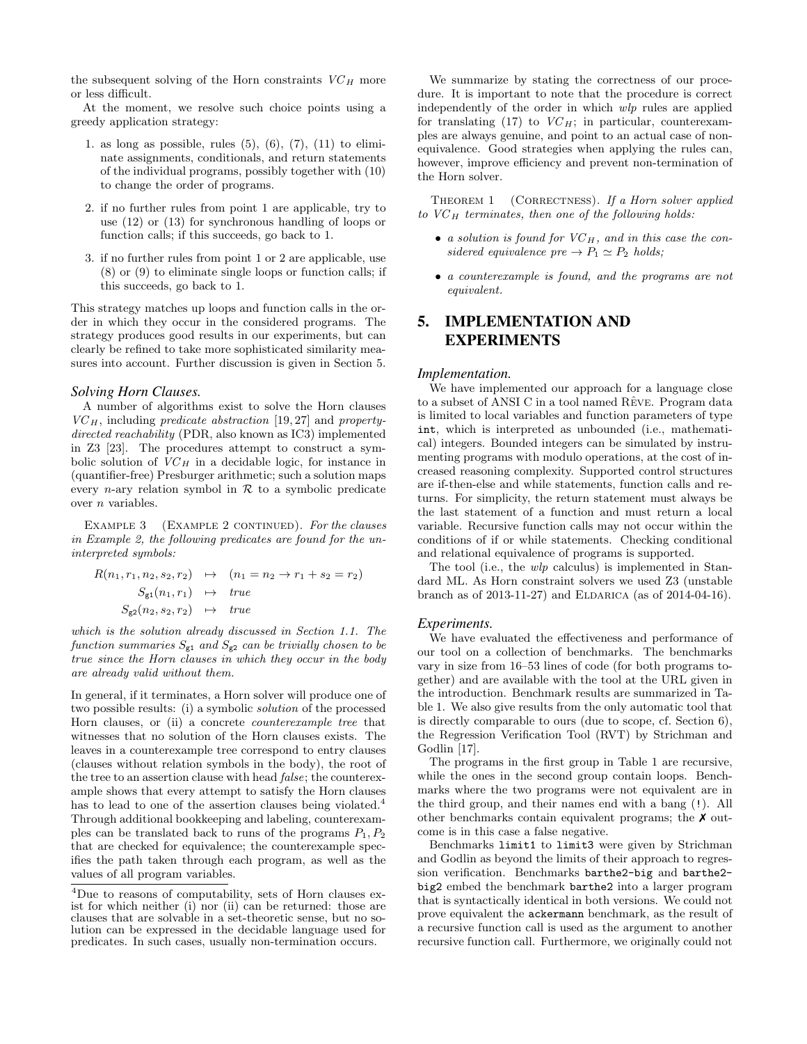the subsequent solving of the Horn constraints  $VC_H$  more or less difficult.

At the moment, we resolve such choice points using a greedy application strategy:

- 1. as long as possible, rules  $(5)$ ,  $(6)$ ,  $(7)$ ,  $(11)$  to eliminate assignments, conditionals, and return statements of the individual programs, possibly together with (10) to change the order of programs.
- 2. if no further rules from point 1 are applicable, try to use (12) or (13) for synchronous handling of loops or function calls; if this succeeds, go back to 1.
- 3. if no further rules from point 1 or 2 are applicable, use (8) or (9) to eliminate single loops or function calls; if this succeeds, go back to 1.

This strategy matches up loops and function calls in the order in which they occur in the considered programs. The strategy produces good results in our experiments, but can clearly be refined to take more sophisticated similarity measures into account. Further discussion is given in Section 5.

#### *Solving Horn Clauses.*

A number of algorithms exist to solve the Horn clauses  $VC_H$ , including predicate abstraction [19,27] and propertydirected reachability (PDR, also known as IC3) implemented in Z3 [23]. The procedures attempt to construct a symbolic solution of  $VC_H$  in a decidable logic, for instance in (quantifier-free) Presburger arithmetic; such a solution maps every *n*-ary relation symbol in  $\mathcal R$  to a symbolic predicate over n variables.

EXAMPLE 3 (EXAMPLE 2 CONTINUED). For the clauses in Example 2, the following predicates are found for the uninterpreted symbols:

$$
R(n_1, r_1, n_2, s_2, r_2) \rightarrow (n_1 = n_2 \rightarrow r_1 + s_2 = r_2)
$$
  
\n
$$
S_{g1}(n_1, r_1) \rightarrow true
$$
  
\n
$$
S_{g2}(n_2, s_2, r_2) \rightarrow true
$$

which is the solution already discussed in Section 1.1. The function summaries  $S_{g1}$  and  $S_{g2}$  can be trivially chosen to be true since the Horn clauses in which they occur in the body are already valid without them.

In general, if it terminates, a Horn solver will produce one of two possible results: (i) a symbolic solution of the processed Horn clauses, or (ii) a concrete counterexample tree that witnesses that no solution of the Horn clauses exists. The leaves in a counterexample tree correspond to entry clauses (clauses without relation symbols in the body), the root of the tree to an assertion clause with head *false*; the counterexample shows that every attempt to satisfy the Horn clauses has to lead to one of the assertion clauses being violated.<sup>4</sup> Through additional bookkeeping and labeling, counterexamples can be translated back to runs of the programs  $P_1, P_2$ that are checked for equivalence; the counterexample specifies the path taken through each program, as well as the values of all program variables.

We summarize by stating the correctness of our procedure. It is important to note that the procedure is correct independently of the order in which wlp rules are applied for translating (17) to  $VC_H$ ; in particular, counterexamples are always genuine, and point to an actual case of nonequivalence. Good strategies when applying the rules can, however, improve efficiency and prevent non-termination of the Horn solver.

THEOREM 1 (CORRECTNESS). If a Horn solver applied to  $VC_H$  terminates, then one of the following holds:

- a solution is found for  $VC_H$ , and in this case the considered equivalence pre  $\rightarrow P_1 \simeq P_2$  holds;
- a counterexample is found, and the programs are not equivalent.

## 5. IMPLEMENTATION AND EXPERIMENTS

#### *Implementation.*

We have implemented our approach for a language close to a subset of ANSI C in a tool named REVE. Program data is limited to local variables and function parameters of type int, which is interpreted as unbounded (i.e., mathematical) integers. Bounded integers can be simulated by instrumenting programs with modulo operations, at the cost of increased reasoning complexity. Supported control structures are if-then-else and while statements, function calls and returns. For simplicity, the return statement must always be the last statement of a function and must return a local variable. Recursive function calls may not occur within the conditions of if or while statements. Checking conditional and relational equivalence of programs is supported.

The tool (i.e., the *wlp* calculus) is implemented in Standard ML. As Horn constraint solvers we used Z3 (unstable branch as of  $2013-11-27$  and ELDARICA (as of  $2014-04-16$ ).

#### *Experiments.*

We have evaluated the effectiveness and performance of our tool on a collection of benchmarks. The benchmarks vary in size from 16–53 lines of code (for both programs together) and are available with the tool at the URL given in the introduction. Benchmark results are summarized in Table 1. We also give results from the only automatic tool that is directly comparable to ours (due to scope, cf. Section 6), the Regression Verification Tool (RVT) by Strichman and Godlin [17].

The programs in the first group in Table 1 are recursive, while the ones in the second group contain loops. Benchmarks where the two programs were not equivalent are in the third group, and their names end with a bang (!). All other benchmarks contain equivalent programs; the ✗ outcome is in this case a false negative.

Benchmarks limit1 to limit3 were given by Strichman and Godlin as beyond the limits of their approach to regression verification. Benchmarks barthe2-big and barthe2 big2 embed the benchmark barthe2 into a larger program that is syntactically identical in both versions. We could not prove equivalent the ackermann benchmark, as the result of a recursive function call is used as the argument to another recursive function call. Furthermore, we originally could not

<sup>4</sup>Due to reasons of computability, sets of Horn clauses exist for which neither (i) nor (ii) can be returned: those are clauses that are solvable in a set-theoretic sense, but no solution can be expressed in the decidable language used for predicates. In such cases, usually non-termination occurs.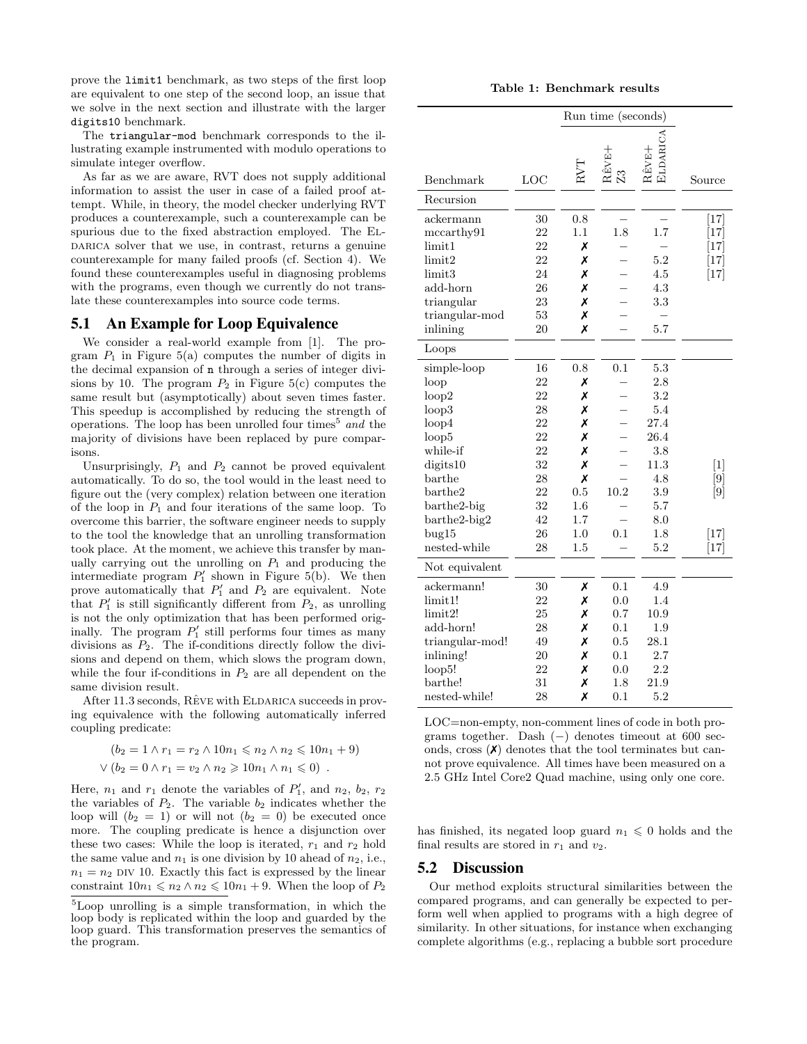prove the limit1 benchmark, as two steps of the first loop are equivalent to one step of the second loop, an issue that we solve in the next section and illustrate with the larger digits10 benchmark.

The triangular-mod benchmark corresponds to the illustrating example instrumented with modulo operations to simulate integer overflow.

As far as we are aware, RVT does not supply additional information to assist the user in case of a failed proof attempt. While, in theory, the model checker underlying RVT produces a counterexample, such a counterexample can be spurious due to the fixed abstraction employed. The El-DARICA solver that we use, in contrast, returns a genuine counterexample for many failed proofs (cf. Section 4). We found these counterexamples useful in diagnosing problems with the programs, even though we currently do not translate these counterexamples into source code terms.

## 5.1 An Example for Loop Equivalence

We consider a real-world example from [1]. The program  $P_1$  in Figure 5(a) computes the number of digits in the decimal expansion of n through a series of integer divisions by 10. The program  $P_2$  in Figure 5(c) computes the same result but (asymptotically) about seven times faster. This speedup is accomplished by reducing the strength of operations. The loop has been unrolled four times<sup>5</sup> and the majority of divisions have been replaced by pure comparisons.

Unsurprisingly,  $P_1$  and  $P_2$  cannot be proved equivalent automatically. To do so, the tool would in the least need to figure out the (very complex) relation between one iteration of the loop in  $P_1$  and four iterations of the same loop. To overcome this barrier, the software engineer needs to supply to the tool the knowledge that an unrolling transformation took place. At the moment, we achieve this transfer by manually carrying out the unrolling on  $P_1$  and producing the intermediate program  $P'_1$  shown in Figure 5(b). We then prove automatically that  $P'_1$  and  $P_2$  are equivalent. Note that  $P'_1$  is still significantly different from  $P_2$ , as unrolling is not the only optimization that has been performed originally. The program  $P'_1$  still performs four times as many divisions as  $P_2$ . The if-conditions directly follow the divisions and depend on them, which slows the program down, while the four if-conditions in  $P_2$  are all dependent on the same division result.

After 11.3 seconds,  $R$  $E$ v $E$  with ELDARICA succeeds in proving equivalence with the following automatically inferred coupling predicate:

$$
(b_2 = 1 \land r_1 = r_2 \land 10n_1 \leq n_2 \land n_2 \leq 10n_1 + 9)
$$
  
 
$$
\lor (b_2 = 0 \land r_1 = v_2 \land n_2 \geq 10n_1 \land n_1 \leq 0).
$$

Here,  $n_1$  and  $r_1$  denote the variables of  $P'_1$ , and  $n_2$ ,  $b_2$ ,  $r_2$ the variables of  $P_2$ . The variable  $b_2$  indicates whether the loop will  $(b_2 = 1)$  or will not  $(b_2 = 0)$  be executed once more. The coupling predicate is hence a disjunction over these two cases: While the loop is iterated,  $r_1$  and  $r_2$  hold the same value and  $n_1$  is one division by 10 ahead of  $n_2$ , i.e.,  $n_1 = n_2$  DIV 10. Exactly this fact is expressed by the linear constraint  $10n_1 \leq n_2 \wedge n_2 \leq 10n_1 + 9$ . When the loop of  $P_2$ 

|                                                                                                                                                              |                                                                                  | Run time (seconds)                                                             |                                                      |                                                                                                   |                                                     |
|--------------------------------------------------------------------------------------------------------------------------------------------------------------|----------------------------------------------------------------------------------|--------------------------------------------------------------------------------|------------------------------------------------------|---------------------------------------------------------------------------------------------------|-----------------------------------------------------|
| Benchmark                                                                                                                                                    | LOC                                                                              | RVT                                                                            | 23                                                   | ELDARICA                                                                                          | Source                                              |
| Recursion                                                                                                                                                    |                                                                                  |                                                                                |                                                      |                                                                                                   |                                                     |
| ackermann<br>mccarthy91<br>$\lim$ it $1$<br>limit2<br>$\lim$ it $3$<br>add-horn<br>triangular                                                                | 30<br>22<br>22<br>22<br>24<br>26<br>23                                           | 0.8<br>1.1<br>Х<br>Х<br>Х<br>X<br>X                                            | 1.8                                                  | 1.7<br>5.2<br>4.5<br>4.3<br>3.3                                                                   | [17]<br>[17]<br>$[17]$<br>$[17]$<br>$[17]$          |
| triangular-mod<br>inlining                                                                                                                                   | 53<br>20                                                                         | X<br>Х                                                                         |                                                      | 5.7                                                                                               |                                                     |
| Loops                                                                                                                                                        |                                                                                  |                                                                                |                                                      |                                                                                                   |                                                     |
| simple-loop<br>loop<br>loop2<br>loop3<br>loop4<br>loop5<br>while-if<br>digits10<br>barthe<br>barthe2<br>barthe2-big<br>barthe2-big2<br>bug15<br>nested-while | 16<br>22<br>22<br>28<br>22<br>22<br>22<br>32<br>28<br>22<br>32<br>42<br>26<br>28 | 0.8<br>Х<br>Х<br>Х<br>Х<br>X<br>Х<br>Х<br>X<br>0.5<br>1.6<br>1.7<br>1.0<br>1.5 | 0.1<br>10.2<br>0.1                                   | 5.3<br>2.8<br>3.2<br>5.4<br>27.4<br>26.4<br>3.8<br>11.3<br>4.8<br>3.9<br>5.7<br>8.0<br>1.8<br>5.2 | $\lceil 1 \rceil$<br>[9]<br>[9]<br>$[17]$<br>$[17]$ |
| Not equivalent                                                                                                                                               |                                                                                  |                                                                                |                                                      |                                                                                                   |                                                     |
| ackermann!<br>limit 1!<br>limit2!<br>add-horn!<br>triangular-mod!<br>inlining!<br>loop5!<br>barthe!                                                          | 30<br>22<br>25<br>28<br>49<br>20<br>22<br>31                                     | Х<br>Х<br>Х<br>Х<br>Х<br>Х<br>X<br>Х                                           | 0.1<br>0.0<br>0.7<br>0.1<br>0.5<br>0.1<br>0.0<br>1.8 | 4.9<br>1.4<br>10.9<br>1.9<br>28.1<br>2.7<br>2.2<br>21.9                                           |                                                     |
| nested-while!                                                                                                                                                | 28                                                                               | X                                                                              | 0.1                                                  | 5.2                                                                                               |                                                     |

LOC=non-empty, non-comment lines of code in both programs together. Dash (−) denotes timeout at 600 seconds, cross  $(X)$  denotes that the tool terminates but cannot prove equivalence. All times have been measured on a 2.5 GHz Intel Core2 Quad machine, using only one core.

has finished, its negated loop guard  $n_1 \leq 0$  holds and the final results are stored in  $r_1$  and  $v_2$ .

## 5.2 Discussion

Our method exploits structural similarities between the compared programs, and can generally be expected to perform well when applied to programs with a high degree of similarity. In other situations, for instance when exchanging complete algorithms (e.g., replacing a bubble sort procedure

<sup>5</sup>Loop unrolling is a simple transformation, in which the loop body is replicated within the loop and guarded by the loop guard. This transformation preserves the semantics of the program.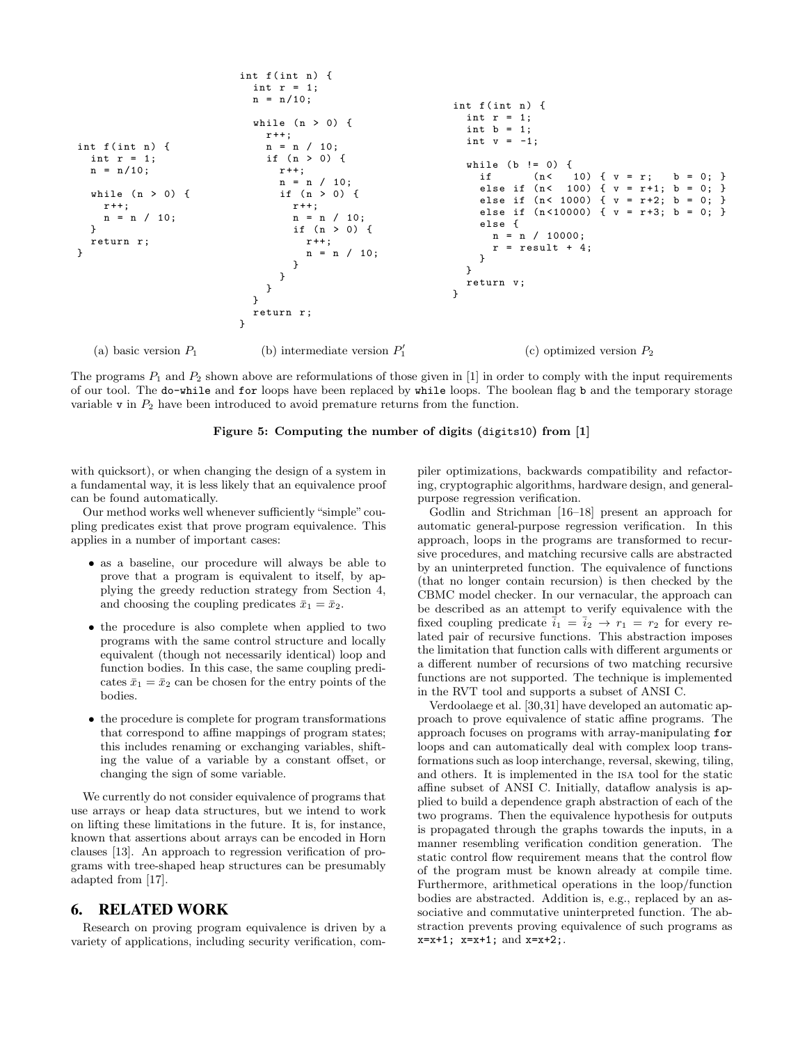

The programs  $P_1$  and  $P_2$  shown above are reformulations of those given in [1] in order to comply with the input requirements of our tool. The do-while and for loops have been replaced by while loops. The boolean flag b and the temporary storage variable v in  $P_2$  have been introduced to avoid premature returns from the function.

#### Figure 5: Computing the number of digits (digits10) from [1]

with quicksort), or when changing the design of a system in a fundamental way, it is less likely that an equivalence proof can be found automatically.

Our method works well whenever sufficiently "simple" coupling predicates exist that prove program equivalence. This applies in a number of important cases:

- as a baseline, our procedure will always be able to prove that a program is equivalent to itself, by applying the greedy reduction strategy from Section 4, and choosing the coupling predicates  $\bar{x}_1 = \bar{x}_2$ .
- the procedure is also complete when applied to two programs with the same control structure and locally equivalent (though not necessarily identical) loop and function bodies. In this case, the same coupling predicates  $\bar{x}_1 = \bar{x}_2$  can be chosen for the entry points of the bodies.
- the procedure is complete for program transformations that correspond to affine mappings of program states; this includes renaming or exchanging variables, shifting the value of a variable by a constant offset, or changing the sign of some variable.

We currently do not consider equivalence of programs that use arrays or heap data structures, but we intend to work on lifting these limitations in the future. It is, for instance, known that assertions about arrays can be encoded in Horn clauses [13]. An approach to regression verification of programs with tree-shaped heap structures can be presumably adapted from [17].

## 6. RELATED WORK

Research on proving program equivalence is driven by a variety of applications, including security verification, compiler optimizations, backwards compatibility and refactoring, cryptographic algorithms, hardware design, and generalpurpose regression verification.

Godlin and Strichman [16–18] present an approach for automatic general-purpose regression verification. In this approach, loops in the programs are transformed to recursive procedures, and matching recursive calls are abstracted by an uninterpreted function. The equivalence of functions (that no longer contain recursion) is then checked by the CBMC model checker. In our vernacular, the approach can be described as an attempt to verify equivalence with the fixed coupling predicate  $\bar{i}_1 = \bar{i}_2 \rightarrow r_1 = r_2$  for every related pair of recursive functions. This abstraction imposes the limitation that function calls with different arguments or a different number of recursions of two matching recursive functions are not supported. The technique is implemented in the RVT tool and supports a subset of ANSI C.

Verdoolaege et al. [30,31] have developed an automatic approach to prove equivalence of static affine programs. The approach focuses on programs with array-manipulating for loops and can automatically deal with complex loop transformations such as loop interchange, reversal, skewing, tiling, and others. It is implemented in the isa tool for the static affine subset of ANSI C. Initially, dataflow analysis is applied to build a dependence graph abstraction of each of the two programs. Then the equivalence hypothesis for outputs is propagated through the graphs towards the inputs, in a manner resembling verification condition generation. The static control flow requirement means that the control flow of the program must be known already at compile time. Furthermore, arithmetical operations in the loop/function bodies are abstracted. Addition is, e.g., replaced by an associative and commutative uninterpreted function. The abstraction prevents proving equivalence of such programs as  $x=x+1$ ;  $x=x+1$ ; and  $x=x+2$ ;.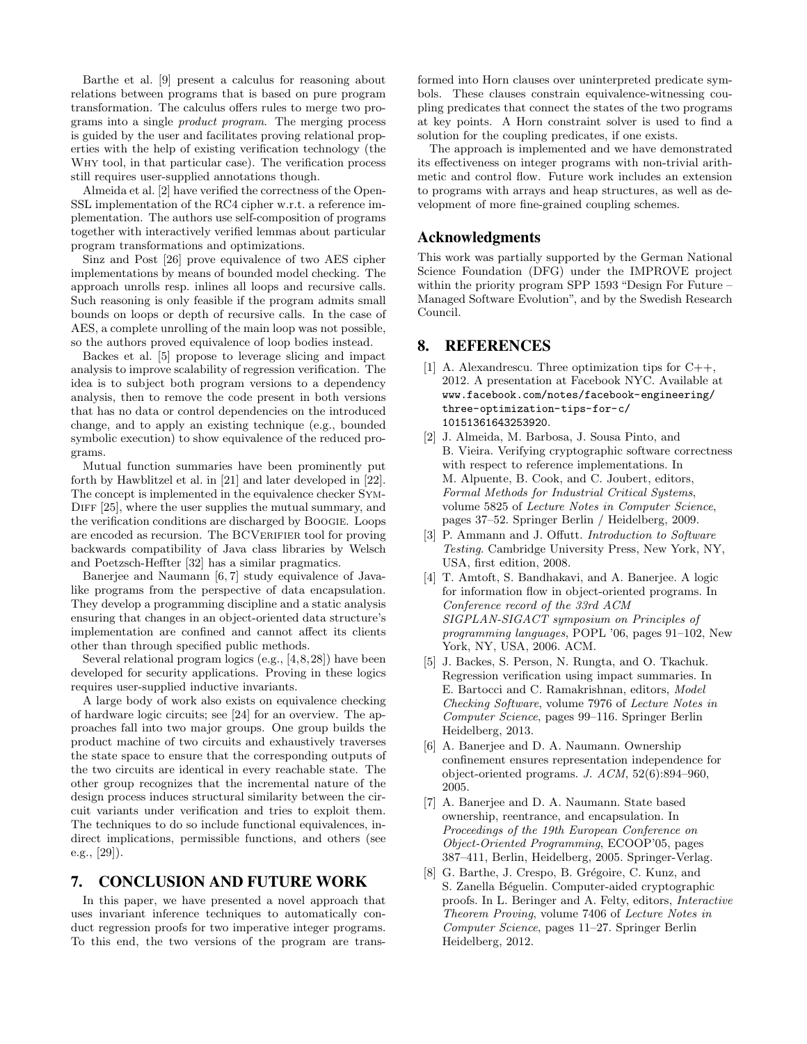Barthe et al. [9] present a calculus for reasoning about relations between programs that is based on pure program transformation. The calculus offers rules to merge two programs into a single product program. The merging process is guided by the user and facilitates proving relational properties with the help of existing verification technology (the Why tool, in that particular case). The verification process still requires user-supplied annotations though.

Almeida et al. [2] have verified the correctness of the Open-SSL implementation of the RC4 cipher w.r.t. a reference implementation. The authors use self-composition of programs together with interactively verified lemmas about particular program transformations and optimizations.

Sinz and Post [26] prove equivalence of two AES cipher implementations by means of bounded model checking. The approach unrolls resp. inlines all loops and recursive calls. Such reasoning is only feasible if the program admits small bounds on loops or depth of recursive calls. In the case of AES, a complete unrolling of the main loop was not possible, so the authors proved equivalence of loop bodies instead.

Backes et al. [5] propose to leverage slicing and impact analysis to improve scalability of regression verification. The idea is to subject both program versions to a dependency analysis, then to remove the code present in both versions that has no data or control dependencies on the introduced change, and to apply an existing technique (e.g., bounded symbolic execution) to show equivalence of the reduced programs.

Mutual function summaries have been prominently put forth by Hawblitzel et al. in [21] and later developed in [22]. The concept is implemented in the equivalence checker Sym-DIFF [25], where the user supplies the mutual summary, and the verification conditions are discharged by Boogie. Loops are encoded as recursion. The BCVERIFIER tool for proving backwards compatibility of Java class libraries by Welsch and Poetzsch-Heffter [32] has a similar pragmatics.

Banerjee and Naumann [6, 7] study equivalence of Javalike programs from the perspective of data encapsulation. They develop a programming discipline and a static analysis ensuring that changes in an object-oriented data structure's implementation are confined and cannot affect its clients other than through specified public methods.

Several relational program logics (e.g., [4,8,28]) have been developed for security applications. Proving in these logics requires user-supplied inductive invariants.

A large body of work also exists on equivalence checking of hardware logic circuits; see [24] for an overview. The approaches fall into two major groups. One group builds the product machine of two circuits and exhaustively traverses the state space to ensure that the corresponding outputs of the two circuits are identical in every reachable state. The other group recognizes that the incremental nature of the design process induces structural similarity between the circuit variants under verification and tries to exploit them. The techniques to do so include functional equivalences, indirect implications, permissible functions, and others (see e.g., [29]).

## 7. CONCLUSION AND FUTURE WORK

In this paper, we have presented a novel approach that uses invariant inference techniques to automatically conduct regression proofs for two imperative integer programs. To this end, the two versions of the program are transformed into Horn clauses over uninterpreted predicate symbols. These clauses constrain equivalence-witnessing coupling predicates that connect the states of the two programs at key points. A Horn constraint solver is used to find a solution for the coupling predicates, if one exists.

The approach is implemented and we have demonstrated its effectiveness on integer programs with non-trivial arithmetic and control flow. Future work includes an extension to programs with arrays and heap structures, as well as development of more fine-grained coupling schemes.

## Acknowledgments

This work was partially supported by the German National Science Foundation (DFG) under the IMPROVE project within the priority program SPP 1593 "Design For Future – Managed Software Evolution", and by the Swedish Research Council.

## 8. REFERENCES

- [1] A. Alexandrescu. Three optimization tips for C++, 2012. A presentation at Facebook NYC. Available at www.facebook.com/notes/facebook-engineering/ three-optimization-tips-for-c/ 10151361643253920.
- [2] J. Almeida, M. Barbosa, J. Sousa Pinto, and B. Vieira. Verifying cryptographic software correctness with respect to reference implementations. In M. Alpuente, B. Cook, and C. Joubert, editors, Formal Methods for Industrial Critical Systems, volume 5825 of Lecture Notes in Computer Science, pages 37–52. Springer Berlin / Heidelberg, 2009.
- [3] P. Ammann and J. Offutt. *Introduction to Software* Testing. Cambridge University Press, New York, NY, USA, first edition, 2008.
- [4] T. Amtoft, S. Bandhakavi, and A. Banerjee. A logic for information flow in object-oriented programs. In Conference record of the 33rd ACM SIGPLAN-SIGACT symposium on Principles of programming languages, POPL '06, pages 91–102, New York, NY, USA, 2006. ACM.
- [5] J. Backes, S. Person, N. Rungta, and O. Tkachuk. Regression verification using impact summaries. In E. Bartocci and C. Ramakrishnan, editors, Model Checking Software, volume 7976 of Lecture Notes in Computer Science, pages 99–116. Springer Berlin Heidelberg, 2013.
- [6] A. Banerjee and D. A. Naumann. Ownership confinement ensures representation independence for object-oriented programs. J. ACM, 52(6):894–960, 2005.
- [7] A. Banerjee and D. A. Naumann. State based ownership, reentrance, and encapsulation. In Proceedings of the 19th European Conference on Object-Oriented Programming, ECOOP'05, pages 387–411, Berlin, Heidelberg, 2005. Springer-Verlag.
- [8] G. Barthe, J. Crespo, B. Grégoire, C. Kunz, and S. Zanella Béguelin. Computer-aided cryptographic proofs. In L. Beringer and A. Felty, editors, Interactive Theorem Proving, volume 7406 of Lecture Notes in Computer Science, pages 11–27. Springer Berlin Heidelberg, 2012.